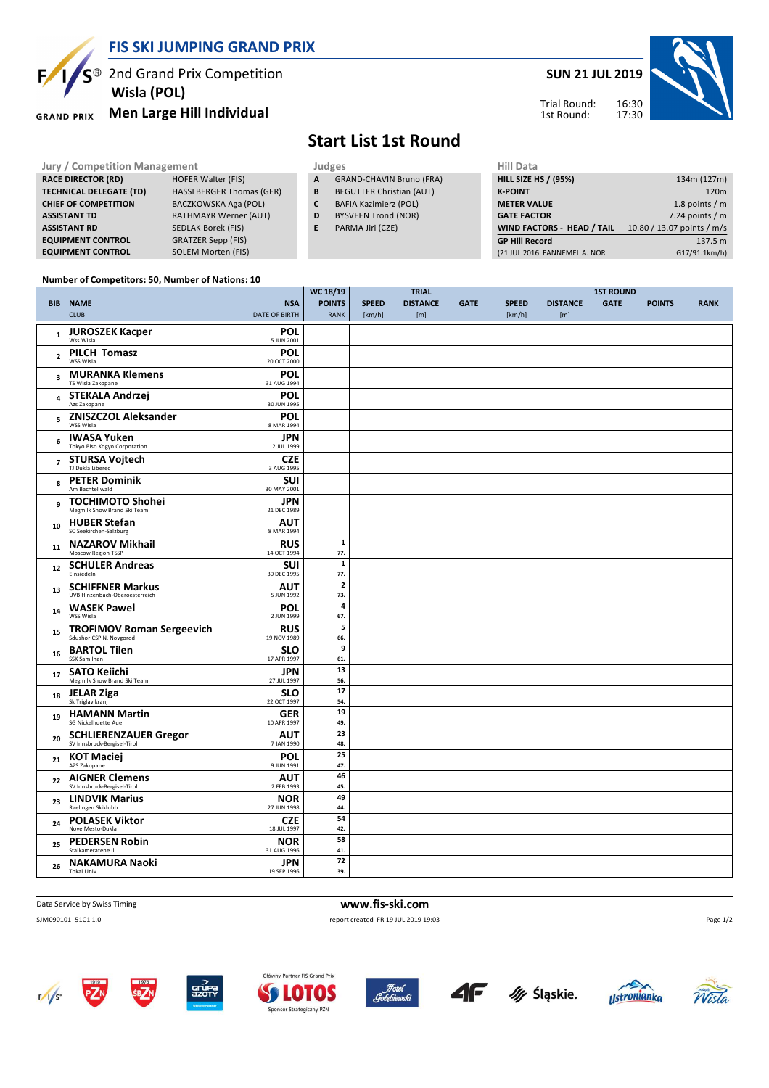**FIS SKI JUMPING GRAND PRIX**

<sup>2</sup> 2nd Grand Prix Competition  **Wisla (POL)**

**RACE DIRECTOR (RD) HOFER Walter (FIS) TECHNICAL DELEGATE (TD)** HASSLBERGER Thomas (GER)<br>**CHIEF OF COMPETITION** BACZKOWSKA Aga (POL)

**CHIEF OF COMPETITION** 

#### **Men Large Hill Individual GRAND PRIX**

### **SUN 21 JUL 2019**



#### Trial Round: 1st Round:

## **Start List 1st Round**

**Jury / Competition Management Judges Hill Data** 

**We 18/19** 

- **A** GRAND-CHAVIN Bruno (FRA)
- **B** BEGUTTER Christian (AUT)
- **C** BAFIA Kazimierz (POL)
- **D** BYSVEEN Trond (NOR)
- **E** PARMA Jiri (CZE)

| (21 JUL 2016 FANNEMEL A. NOR      | G17/91.1km/h)              |
|-----------------------------------|----------------------------|
| <b>GP Hill Record</b>             | 137.5 m                    |
| <b>WIND FACTORS - HEAD / TAIL</b> | 10.80 / 13.07 points / m/s |
| <b>GATE FACTOR</b>                | 7.24 points $/m$           |
| <b>METER VALUE</b>                | 1.8 points $/m$            |
| <b>K-POINT</b>                    | 120 <sub>m</sub>           |
| <b>HILL SIZE HS / (95%)</b>       | 134m (127m)                |
| нн мата                           |                            |

### **Number of Competitors: 50, Number of Nations: 10**

**ASSISTANT TD** RATHMAYR Werner (AUT) **ASSISTANT RD** SEDLAK Borek (FIS) **EQUIPMENT CONTROL** GRATZER Sepp (FIS) **EQUIPMENT CONTROL** SOLEM Morten (FIS)

|                |                                                                                          | WC 18/19                     |                        | <b>TRIAL</b>           |             | <b>1ST ROUND</b>       |                        |             |               |             |
|----------------|------------------------------------------------------------------------------------------|------------------------------|------------------------|------------------------|-------------|------------------------|------------------------|-------------|---------------|-------------|
|                | <b>NSA</b><br><b>BIB NAME</b><br><b>CLUB</b><br><b>DATE OF BIRTH</b>                     | <b>POINTS</b><br><b>RANK</b> | <b>SPEED</b><br>[km/h] | <b>DISTANCE</b><br>[m] | <b>GATE</b> | <b>SPEED</b><br>[km/h] | <b>DISTANCE</b><br>[m] | <b>GATE</b> | <b>POINTS</b> | <b>RANK</b> |
| $\mathbf 1$    | <b>JUROSZEK Kacper</b><br>POL<br>Wss Wisla<br>5 JUN 2001                                 |                              |                        |                        |             |                        |                        |             |               |             |
| $\overline{2}$ | <b>PILCH Tomasz</b><br>POL<br>WSS Wisla<br>20 OCT 2000                                   |                              |                        |                        |             |                        |                        |             |               |             |
| 3              | <b>MURANKA Klemens</b><br>POL<br>TS Wisla Zakopane<br>31 AUG 1994                        |                              |                        |                        |             |                        |                        |             |               |             |
| 4              | POL<br><b>STEKALA Andrzej</b><br>Azs Zakopane<br>30 JUN 1995                             |                              |                        |                        |             |                        |                        |             |               |             |
| 5              | <b>ZNISZCZOL Aleksander</b><br>POL<br>WSS Wisla<br>8 MAR 1994                            |                              |                        |                        |             |                        |                        |             |               |             |
| 6              | <b>JPN</b><br><b>IWASA Yuken</b><br>Tokyo Biso Kogyo Corporation<br>2 JUL 1999           |                              |                        |                        |             |                        |                        |             |               |             |
| $\overline{7}$ | <b>STURSA Vojtech</b><br><b>CZE</b><br>TJ Dukla Liberec<br>3 AUG 1995                    |                              |                        |                        |             |                        |                        |             |               |             |
| 8              | <b>SUI</b><br><b>PETER Dominik</b><br>Am Bachtel wald<br>30 MAY 2001                     |                              |                        |                        |             |                        |                        |             |               |             |
| 9              | <b>TOCHIMOTO Shohei</b><br><b>JPN</b><br>Megmilk Snow Brand Ski Team<br>21 DEC 1989      |                              |                        |                        |             |                        |                        |             |               |             |
| 10             | <b>HUBER Stefan</b><br><b>AUT</b><br>SC Seekirchen-Salzburg<br>8 MAR 1994                |                              |                        |                        |             |                        |                        |             |               |             |
| 11             | <b>NAZAROV Mikhail</b><br><b>RUS</b><br>Moscow Region TSSP<br>14 OCT 1994                | $\mathbf{1}$<br>77.          |                        |                        |             |                        |                        |             |               |             |
| 12             | <b>SUI</b><br><b>SCHULER Andreas</b><br>Einsiedeln<br>30 DEC 1995                        | $\mathbf 1$<br>77.           |                        |                        |             |                        |                        |             |               |             |
| 13             | <b>SCHIFFNER Markus</b><br><b>AUT</b><br>UVB Hinzenbach-Oberoesterreich<br>5 JUN 1992    | $\overline{2}$<br>73.        |                        |                        |             |                        |                        |             |               |             |
| 14             | <b>WASEK Pawel</b><br>POL<br>WSS Wisla<br>2 JUN 1999                                     | $\pmb{4}$<br>67.             |                        |                        |             |                        |                        |             |               |             |
| 15             | <b>TROFIMOV Roman Sergeevich</b><br>Sdushor CSP N. Novgorod<br><b>RUS</b><br>19 NOV 1989 | 5<br>66.                     |                        |                        |             |                        |                        |             |               |             |
| 16             | <b>BARTOL Tilen</b><br><b>SLO</b><br>SSK Sam Ihan<br>17 APR 1997                         | 9<br>61.                     |                        |                        |             |                        |                        |             |               |             |
| 17             | <b>SATO Keiichi</b><br><b>JPN</b><br>Megmilk Snow Brand Ski Team<br>27 JUL 1997          | 13<br>56.                    |                        |                        |             |                        |                        |             |               |             |
| 18             | <b>SLO</b><br><b>JELAR Ziga</b><br>Sk Triglav kranj<br>22 OCT 1997                       | 17<br>54.                    |                        |                        |             |                        |                        |             |               |             |
| 19             | <b>HAMANN Martin</b><br><b>GER</b><br>SG Nickelhuette Aue<br>10 APR 1997                 | 19<br>49.                    |                        |                        |             |                        |                        |             |               |             |
| 20             | SCHLIERENZAUER Gregor<br>SV Innsbruck-Bergisel-Tirol<br><b>AUT</b><br>7 JAN 1990         | 23<br>48.                    |                        |                        |             |                        |                        |             |               |             |
| 21             | POL<br><b>KOT Maciej</b><br>AZS Zakopane<br>9 JUN 1991                                   | 25<br>47.                    |                        |                        |             |                        |                        |             |               |             |
| 22             | <b>AIGNER Clemens</b><br><b>AUT</b><br>SV Innsbruck-Bergisel-Tirol<br>2 FEB 1993         | 46<br>45.                    |                        |                        |             |                        |                        |             |               |             |
| 23             | <b>LINDVIK Marius</b><br><b>NOR</b><br>Raelingen Skiklubb<br>27 JUN 1998                 | 49<br>44.                    |                        |                        |             |                        |                        |             |               |             |
| 24             | <b>POLASEK Viktor</b><br><b>CZE</b><br>Nove Mesto-Dukla<br>18 JUL 1997                   | 54<br>42.                    |                        |                        |             |                        |                        |             |               |             |
| 25             | <b>PEDERSEN Robin</b><br><b>NOR</b><br>Stalkameratene II<br>31 AUG 1996                  | 58<br>41.                    |                        |                        |             |                        |                        |             |               |             |
| 26             | <b>NAKAMURA Naoki</b><br><b>JPN</b><br>Tokai Univ.<br>19 SEP 1996                        | 72<br>39.                    |                        |                        |             |                        |                        |             |               |             |

Data Service by Swiss Timing **www.fis-ski.com** 

SJM090101\_51C1 1.0 report created FR 19 JUL 2019 19:03















Page 1/2